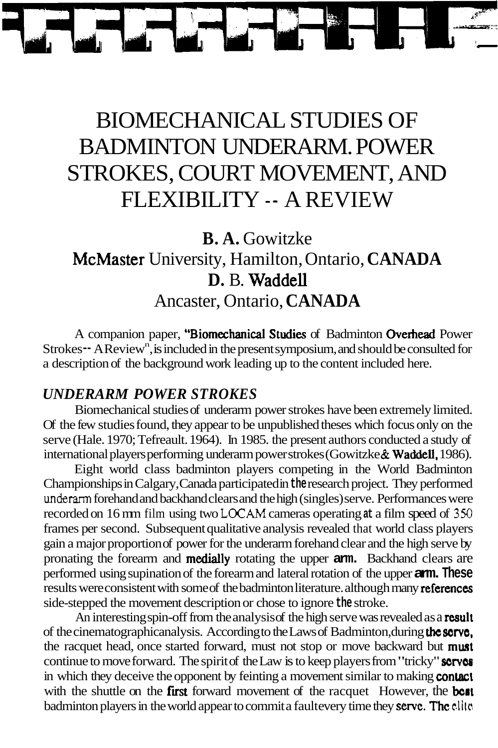# BIOMECHANICAL STUDIES OF BADMINTON UNDERARM. POWER STROKES, COURT MOVEMENT, AND FLEXIBILITY -- A REVIEW

**B. A.** Gowitzke McMaster University, Hamilton, Ontario, **CANADA D.** B. Waddell Ancaster, Ontario, **CANADA** 

A companion paper, "Biomechanical Studies of Badminton Overhead Power Strokes -- A Review<sup>n</sup>, is included in the present symposium, and should be consulted for a description of the background work leading up to the content included here.

## *UNDERARM POWER STROKES*

Biomechanical studies of underarm power strokes have been extremely limited. Of the few studies found, they appear to be unpublished theses which focus only on the serve (Hale. 1970; Tefreault. 1964). In 1985. the present authors conducted a study of international players performing underarm power strokes (Gowitzke & Waddell, 1986).

Eight world class badminton players competing in the World Badminton Championships in Calgary, Canada participated in **the** research project. They performed **underarm** forehand and backhand clears and the high (singles) serve. Performances were recorded on 16 mm film using two **LOCAM** cameras operating **at** a film speed of **350**  frames per second. Subsequent qualitative analysis revealed that world class players gain a major proportion of power for the underarm forehand clear and the high serve by pronating the forearm and medially rotating the upper **arm.** Backhand clears are performed using supination of the forearm and lateral rotation of the upper **arm. These**  results were consistent with some of the badminton literature. although many references side-stepped the movement description or chose to ignore **the** stroke.

An interesting spin-off from the analysis of the high serve was revealed as a result of the cinematographic analysis. According to the Laws of Badminton, during **thc sorvo,**  the racquet head, once started forward, must not stop or move backward but must continue to move forward. The spirit of the Law is to keep players from "tricky" **serves** in which they deceive the opponent by feinting a movement similar to making **contact** with the shuttle on the **first** forward movement of the racquet However, the **bost** badminton players in the world appear to commit a fault every time they **serve. The clite**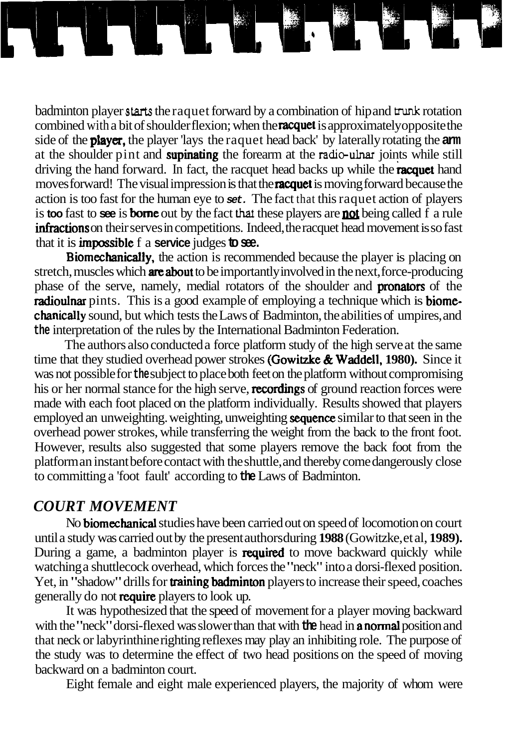badminton player starts the raquet forward by a combination of hip and trunk rotation combined with a bit of shoulder flexion; when the **racquet** is approximately opposite the side of the player, the player 'lays the raquet head back' by laterally rotating the **arm**  at the shoulder pint and supinating the forearm at the **radieulnar** joints while still driving the hand forward. In fact, the racquet head backs up while the **racquet** hand moves forward! The visual impression is that the **racquet** is moving forward because the action is too fast for the human eye to **set.** The fact that this raquet action of players is **too** fast to **see** is **borne** out by the fact that these players are **not** being called  $\hat{f}$  a rule  $infractions on their serves in competitions. Indeed, the racquet head movement is so fast$ that it is impossible fa **service** judges **to see.** 

Biomechanically, the action is recommended because the player is placing on stretch, muscles which **are about** to be importantly involved in the next, force-producing phase of the serve, namely, medial rotators of the shoulder and **pronators** of the radioulnar pints. This is a good example of employing a technique which is **biome**chanically sound, but which tests the Laws of Badminton, the abilities of umpires, and **the** interpretation of the rules by the International Badminton Federation.

The authors also conducted a force platform study of the high serve at the same time that they studied overhead power strokes (Gowitzke & Waddell, 1980). Since it was not possible for **the** subject to place both feet on the platform without compromising his or her normal stance for the high serve, **recordings** of ground reaction forces were made with each foot placed on the platform individually. Results showed that players employed an unweighting. weighting, unweighting sequence similar to that seen in the overhead power strokes, while transferring the weight from the back to the front foot. However, results also suggested that some players remove the back foot from the platform an instant before contact with the shuttle, and thereby come dangerously close to committing a 'foot fault' according to **the** Laws of Badminton.

## *COURT MOVEMENT*

No biomechanical studies have been carried out on speed of locomotion on court until a study was carried out by the present authors during **1988** (Gowitzke, et al, **1989).**  During a game, a badminton player is **required** to move backward quickly while watching a shuttlecock overhead, which forces the "neck" into a dorsi-flexed position. Yet, in "shadow" drills for **training badminton** players to increase their speed, coaches generally do not require players to look up.

It was hypothesized that the speed of movement for a player moving backward with the "neck" dorsi-flexed was slower than that with **the** head in anormal position and that neck or labyrinthine righting reflexes may play an inhibiting role. The purpose of the study was to determine the effect of two head positions on the speed of moving backward on a badminton court.

Eight female and eight male experienced players, the majority of whom were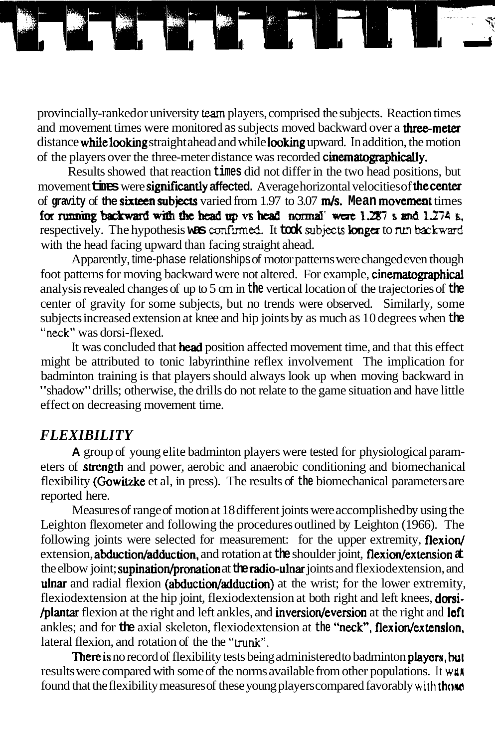provincially-ranked or university **team** players, comprised the subjects. Reaction times and movement times were monitored as subjects moved backward over a **three-meter** distance while looking straight ahead and while looking upward. In addition, the motion of the players over the three-meter distance was recorded cinematographically.

Results showed that reaction **times** did not differ in the two head positions, but movement **times** were **significantly affected.** Average horizontal velocities of the center of **gravity** of **the** sixteen subjects varied from 1.97 to 3.07 m/s. **Mean** movement times for running backward with the head up vs head normal were  $1.287$  s and  $1.274$  s, respectively. The hypothesis was confirmed. It **took** subjects **longer** to run backward with the head facing upward than facing straight ahead.

Apparently, time-phase relationships of motor patterns were changed even though foot patterns for moving backward were not altered. For example, cinematographical analysis revealed changes of up to 5 cm in **the** vertical location of the trajectories of **the**  center of gravity for some subjects, but no trends were observed. Similarly, some subjects increased extension at knee and hip joints by as much as 10 degrees when **the "neck"** was dorsi-flexed.

It was concluded that **head** position affected movement time, and that this effect might be attributed to tonic labyrinthine reflex involvement The implication for badminton training is that players should always look up when moving backward in "shadow" drills; otherwise, the drills do not relate to the game situation and have little effect on decreasing movement time.

#### *FLEXIBILITY*

**A** group of young elite badminton players were tested for physiological parameters of strength and power, aerobic and anaerobic conditioning and biomechanical flexibility (Gowitzke et al, in press). The results of **the** biomechanical parameters are reported here.

Measures of range of motion at 18 different joints were accomplished by using the Leighton flexometer and following the procedures outlined by Leighton (1966). The following joints were selected for measurement: for the upper extremity, flexion/ extension, abduction/adduction, and rotation at the shoulder joint, flexion/extension  $\pm$ the elbow joint; supination/pronation at the radio-ulnar joints and flexiodextension, and ulnar and radial flexion (abduction/adduction) at the wrist; for the lower extremity, flexiodextension at the hip joint, flexiodextension at both right and left knees, **dorsi-**/plantar flexion at the right and left ankles, and inversiodeversion at the right and left ankles; and for **the** axial skeleton, flexiodextension at **the "neck", flexion/extension**, lateral flexion, and rotation of the the "trunk".

There is no record of flexibility tests being administered to badminton players, but results were compared with some of the norms available from other populations. It **wan**  found that the flexibility measures of these young players compared favorably with **those**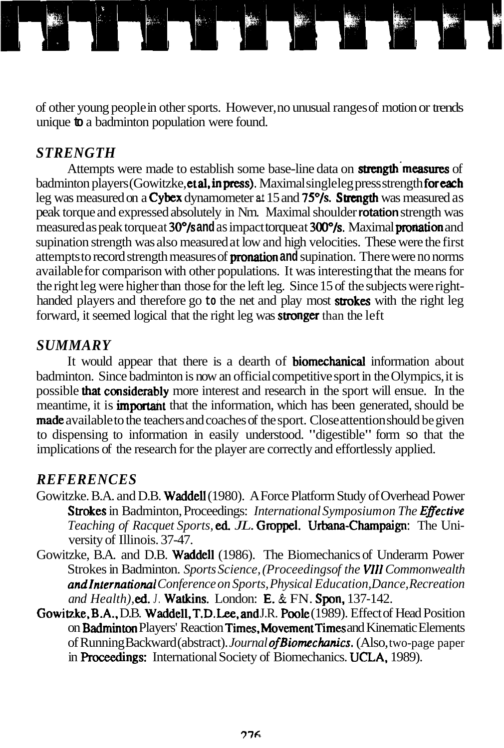of other young people in other sports. However, no unusual ranges of motion or trends unique **to** a badminton population were found.

## *STRENGTH*

Attempts were made to establish some base-line data on **strength measures** of badminton players (Gowitzke, et al, in press). Maximal single leg press strength for each leg was measured on a **Cybex** dynamometer at 15 and 75°/s. Strength was measured as peak torque and expressed absolutely in Nm. Maximal shoulder **rotation** strength was measured as peak torque at 30°/s **and** as impact torque at 300°/s. Maximal pronation and supination strength was also measured at low and high velocities. These were the first attempts to record strength measures of pronation **and** supination. There were no norms available for comparison with other populations. It was interesting that the means for the right leg were higher than those for the left leg. Since 15 of the subjects were righthanded players and therefore go **to** the net and play most strokes with the right leg forward, it seemed logical that the right leg was stronger than the left

# *SUMMARY*

It would appear that there is a dearth of biomechanical information about badminton. Since badminton is now an official competitive sport in the Olympics, it is possible that considerably more interest and research in the sport will ensue. In the meantime, it is **important** that the information, which has been generated, should be made available to the teachers and coaches of the sport. Close attention should be given to dispensing to information in easily understood. "digestible" form so that the implications of the research for the player are correctly and effortlessly applied.

## *REFERENCES*

- Gowitzke. B.A. and D.B. Waddell (1980). A Force Platform Study of Overhead Power Strokes in Badminton, Proceedings: *International Symposium on The Eflective Teaching of Racquet Sports,* **ed.** *JL.* Groppel. Urbana-Champaign: The University of Illinois. 37-47.
- Gowitzke, B.A. and D.B. Waddell (1986). The Biomechanics of Underarm Power Strokes in Badminton. *Sports Science, (Proceedings of the VIII Commonwealth andlnternationai Conference on Sports, Physical Education, Dance, Recreation and Health),* **ed.** *J.* Watkins. London: E. & FN. Spon, 137-142.
- Gowitzke, B.A., D.B. Waddell, T.D. Lee, and J.R. Poole (1989). Effect of Head Position on Badminton Players' Reaction Times.MovementTimes and Kinematic Elements of Running Backward (abstract). *Journal ofBiomechonics.* (Also, two-page paper in Proceedings: International Society of Biomechanics. UCLA, 1989).